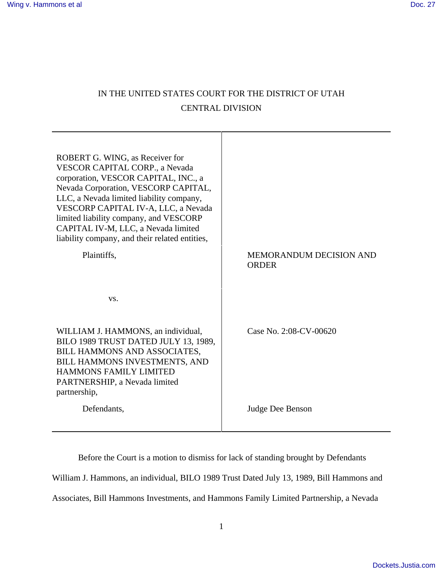# IN THE UNITED STATES COURT FOR THE DISTRICT OF UTAH CENTRAL DIVISION

Т

| ROBERT G. WING, as Receiver for<br><b>VESCOR CAPITAL CORP., a Nevada</b><br>corporation, VESCOR CAPITAL, INC., a<br>Nevada Corporation, VESCORP CAPITAL,<br>LLC, a Nevada limited liability company,<br>VESCORP CAPITAL IV-A, LLC, a Nevada<br>limited liability company, and VESCORP<br>CAPITAL IV-M, LLC, a Nevada limited<br>liability company, and their related entities, |                                                |
|--------------------------------------------------------------------------------------------------------------------------------------------------------------------------------------------------------------------------------------------------------------------------------------------------------------------------------------------------------------------------------|------------------------------------------------|
| Plaintiffs,                                                                                                                                                                                                                                                                                                                                                                    | <b>MEMORANDUM DECISION AND</b><br><b>ORDER</b> |
| VS.                                                                                                                                                                                                                                                                                                                                                                            |                                                |
| WILLIAM J. HAMMONS, an individual,<br>BILO 1989 TRUST DATED JULY 13, 1989,<br>BILL HAMMONS AND ASSOCIATES,<br>BILL HAMMONS INVESTMENTS, AND<br>HAMMONS FAMILY LIMITED<br>PARTNERSHIP, a Nevada limited<br>partnership,                                                                                                                                                         | Case No. 2:08-CV-00620                         |
| Defendants,                                                                                                                                                                                                                                                                                                                                                                    | Judge Dee Benson                               |

Before the Court is a motion to dismiss for lack of standing brought by Defendants William J. Hammons, an individual, BILO 1989 Trust Dated July 13, 1989, Bill Hammons and Associates, Bill Hammons Investments, and Hammons Family Limited Partnership, a Nevada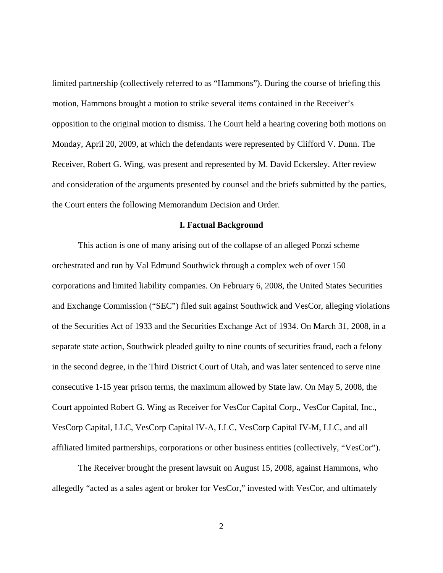limited partnership (collectively referred to as "Hammons"). During the course of briefing this motion, Hammons brought a motion to strike several items contained in the Receiver's opposition to the original motion to dismiss. The Court held a hearing covering both motions on Monday, April 20, 2009, at which the defendants were represented by Clifford V. Dunn. The Receiver, Robert G. Wing, was present and represented by M. David Eckersley. After review and consideration of the arguments presented by counsel and the briefs submitted by the parties, the Court enters the following Memorandum Decision and Order.

### **I. Factual Background**

This action is one of many arising out of the collapse of an alleged Ponzi scheme orchestrated and run by Val Edmund Southwick through a complex web of over 150 corporations and limited liability companies. On February 6, 2008, the United States Securities and Exchange Commission ("SEC") filed suit against Southwick and VesCor, alleging violations of the Securities Act of 1933 and the Securities Exchange Act of 1934. On March 31, 2008, in a separate state action, Southwick pleaded guilty to nine counts of securities fraud, each a felony in the second degree, in the Third District Court of Utah, and was later sentenced to serve nine consecutive 1-15 year prison terms, the maximum allowed by State law. On May 5, 2008, the Court appointed Robert G. Wing as Receiver for VesCor Capital Corp., VesCor Capital, Inc., VesCorp Capital, LLC, VesCorp Capital IV-A, LLC, VesCorp Capital IV-M, LLC, and all affiliated limited partnerships, corporations or other business entities (collectively, "VesCor").

The Receiver brought the present lawsuit on August 15, 2008, against Hammons, who allegedly "acted as a sales agent or broker for VesCor," invested with VesCor, and ultimately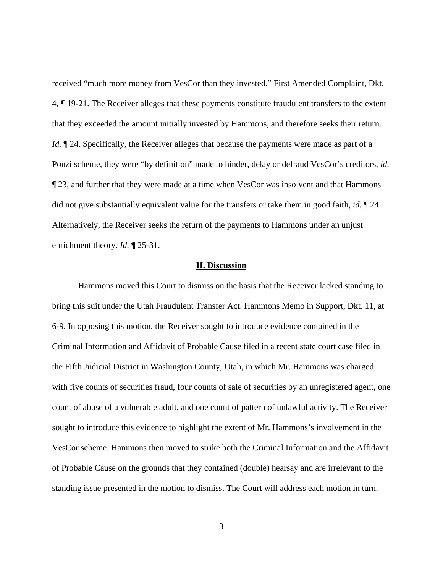received "much more money from VesCor than they invested." First Amended Complaint, Dkt. 4, ¶ 19-21. The Receiver alleges that these payments constitute fraudulent transfers to the extent that they exceeded the amount initially invested by Hammons, and therefore seeks their return. *Id.*  $\mathbb{I}$  24. Specifically, the Receiver alleges that because the payments were made as part of a Ponzi scheme, they were "by definition" made to hinder, delay or defraud VesCor's creditors, *id.* ¶ 23, and further that they were made at a time when VesCor was insolvent and that Hammons did not give substantially equivalent value for the transfers or take them in good faith, *id.* ¶ 24. Alternatively, the Receiver seeks the return of the payments to Hammons under an unjust enrichment theory. *Id.* ¶ 25-31.

#### **II. Discussion**

Hammons moved this Court to dismiss on the basis that the Receiver lacked standing to bring this suit under the Utah Fraudulent Transfer Act. Hammons Memo in Support, Dkt. 11, at 6-9. In opposing this motion, the Receiver sought to introduce evidence contained in the Criminal Information and Affidavit of Probable Cause filed in a recent state court case filed in the Fifth Judicial District in Washington County, Utah, in which Mr. Hammons was charged with five counts of securities fraud, four counts of sale of securities by an unregistered agent, one count of abuse of a vulnerable adult, and one count of pattern of unlawful activity. The Receiver sought to introduce this evidence to highlight the extent of Mr. Hammons's involvement in the VesCor scheme. Hammons then moved to strike both the Criminal Information and the Affidavit of Probable Cause on the grounds that they contained (double) hearsay and are irrelevant to the standing issue presented in the motion to dismiss. The Court will address each motion in turn.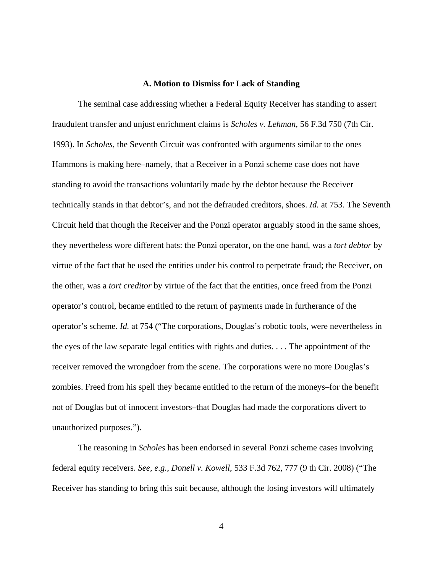### **A. Motion to Dismiss for Lack of Standing**

The seminal case addressing whether a Federal Equity Receiver has standing to assert fraudulent transfer and unjust enrichment claims is *Scholes v. Lehman*, 56 F.3d 750 (7th Cir. 1993). In *Scholes*, the Seventh Circuit was confronted with arguments similar to the ones Hammons is making here–namely, that a Receiver in a Ponzi scheme case does not have standing to avoid the transactions voluntarily made by the debtor because the Receiver technically stands in that debtor's, and not the defrauded creditors, shoes. *Id.* at 753. The Seventh Circuit held that though the Receiver and the Ponzi operator arguably stood in the same shoes, they nevertheless wore different hats: the Ponzi operator, on the one hand, was a *tort debtor* by virtue of the fact that he used the entities under his control to perpetrate fraud; the Receiver, on the other, was a *tort creditor* by virtue of the fact that the entities, once freed from the Ponzi operator's control, became entitled to the return of payments made in furtherance of the operator's scheme. *Id.* at 754 ("The corporations, Douglas's robotic tools, were nevertheless in the eyes of the law separate legal entities with rights and duties. . . . The appointment of the receiver removed the wrongdoer from the scene. The corporations were no more Douglas's zombies. Freed from his spell they became entitled to the return of the moneys–for the benefit not of Douglas but of innocent investors–that Douglas had made the corporations divert to unauthorized purposes.").

The reasoning in *Scholes* has been endorsed in several Ponzi scheme cases involving federal equity receivers. *See, e.g.*, *Donell v. Kowell*, 533 F.3d 762, 777 (9 th Cir. 2008) ("The Receiver has standing to bring this suit because, although the losing investors will ultimately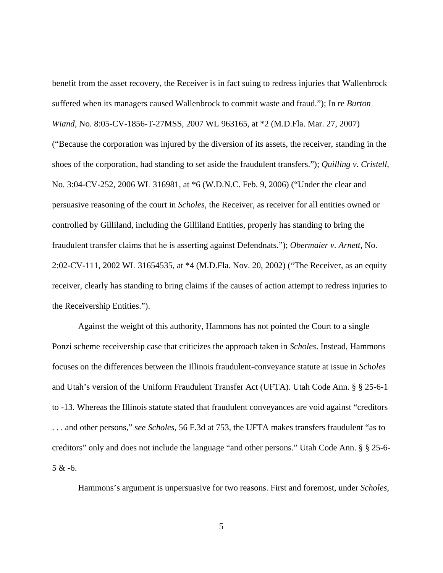benefit from the asset recovery, the Receiver is in fact suing to redress injuries that Wallenbrock suffered when its managers caused Wallenbrock to commit waste and fraud."); In re *Burton Wiand*, No. 8:05-CV-1856-T-27MSS, 2007 WL 963165, at \*2 (M.D.Fla. Mar. 27, 2007) ("Because the corporation was injured by the diversion of its assets, the receiver, standing in the shoes of the corporation, had standing to set aside the fraudulent transfers."); *Quilling v. Cristell*, No. 3:04-CV-252, 2006 WL 316981, at \*6 (W.D.N.C. Feb. 9, 2006) ("Under the clear and persuasive reasoning of the court in *Scholes*, the Receiver, as receiver for all entities owned or controlled by Gilliland, including the Gilliland Entities, properly has standing to bring the fraudulent transfer claims that he is asserting against Defendnats."); *Obermaier v. Arnett*, No. 2:02-CV-111, 2002 WL 31654535, at \*4 (M.D.Fla. Nov. 20, 2002) ("The Receiver, as an equity receiver, clearly has standing to bring claims if the causes of action attempt to redress injuries to the Receivership Entities.").

Against the weight of this authority, Hammons has not pointed the Court to a single Ponzi scheme receivership case that criticizes the approach taken in *Scholes*. Instead, Hammons focuses on the differences between the Illinois fraudulent-conveyance statute at issue in *Scholes* and Utah's version of the Uniform Fraudulent Transfer Act (UFTA). Utah Code Ann. § § 25-6-1 to -13. Whereas the Illinois statute stated that fraudulent conveyances are void against "creditors . . . and other persons," *see Scholes*, 56 F.3d at 753, the UFTA makes transfers fraudulent "as to creditors" only and does not include the language "and other persons." Utah Code Ann. § § 25-6-  $5 & -6$ .

Hammons's argument is unpersuasive for two reasons. First and foremost, under *Scholes*,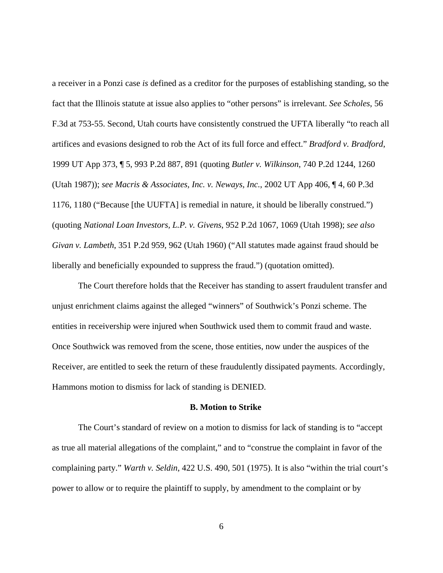a receiver in a Ponzi case *is* defined as a creditor for the purposes of establishing standing, so the fact that the Illinois statute at issue also applies to "other persons" is irrelevant. *See Scholes*, 56 F.3d at 753-55. Second, Utah courts have consistently construed the UFTA liberally "to reach all artifices and evasions designed to rob the Act of its full force and effect." *Bradford v. Bradford*, 1999 UT App 373, ¶ 5, 993 P.2d 887, 891 (quoting *Butler v. Wilkinson*, 740 P.2d 1244, 1260 (Utah 1987)); *see Macris & Associates, Inc. v. Neways, Inc.*, 2002 UT App 406, ¶ 4, 60 P.3d 1176, 1180 ("Because [the UUFTA] is remedial in nature, it should be liberally construed.") (quoting *National Loan Investors, L.P. v. Givens*, 952 P.2d 1067, 1069 (Utah 1998); *see also Givan v. Lambeth*, 351 P.2d 959, 962 (Utah 1960) ("All statutes made against fraud should be liberally and beneficially expounded to suppress the fraud.") (quotation omitted).

The Court therefore holds that the Receiver has standing to assert fraudulent transfer and unjust enrichment claims against the alleged "winners" of Southwick's Ponzi scheme. The entities in receivership were injured when Southwick used them to commit fraud and waste. Once Southwick was removed from the scene, those entities, now under the auspices of the Receiver, are entitled to seek the return of these fraudulently dissipated payments. Accordingly, Hammons motion to dismiss for lack of standing is DENIED.

### **B. Motion to Strike**

The Court's standard of review on a motion to dismiss for lack of standing is to "accept as true all material allegations of the complaint," and to "construe the complaint in favor of the complaining party." *Warth v. Seldin*, 422 U.S. 490, 501 (1975). It is also "within the trial court's power to allow or to require the plaintiff to supply, by amendment to the complaint or by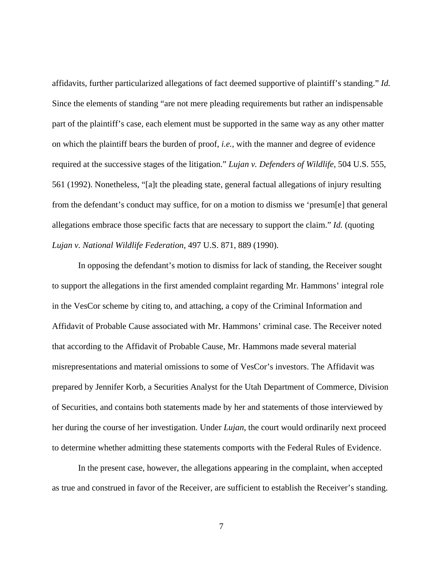affidavits, further particularized allegations of fact deemed supportive of plaintiff's standing." *Id.* Since the elements of standing "are not mere pleading requirements but rather an indispensable part of the plaintiff's case, each element must be supported in the same way as any other matter on which the plaintiff bears the burden of proof, *i.e.*, with the manner and degree of evidence required at the successive stages of the litigation." *Lujan v. Defenders of Wildlife*, 504 U.S. 555, 561 (1992). Nonetheless, "[a]t the pleading state, general factual allegations of injury resulting from the defendant's conduct may suffice, for on a motion to dismiss we 'presum[e] that general allegations embrace those specific facts that are necessary to support the claim." *Id.* (quoting *Lujan v. National Wildlife Federation*, 497 U.S. 871, 889 (1990).

In opposing the defendant's motion to dismiss for lack of standing, the Receiver sought to support the allegations in the first amended complaint regarding Mr. Hammons' integral role in the VesCor scheme by citing to, and attaching, a copy of the Criminal Information and Affidavit of Probable Cause associated with Mr. Hammons' criminal case. The Receiver noted that according to the Affidavit of Probable Cause, Mr. Hammons made several material misrepresentations and material omissions to some of VesCor's investors. The Affidavit was prepared by Jennifer Korb, a Securities Analyst for the Utah Department of Commerce, Division of Securities, and contains both statements made by her and statements of those interviewed by her during the course of her investigation. Under *Lujan*, the court would ordinarily next proceed to determine whether admitting these statements comports with the Federal Rules of Evidence.

In the present case, however, the allegations appearing in the complaint, when accepted as true and construed in favor of the Receiver, are sufficient to establish the Receiver's standing.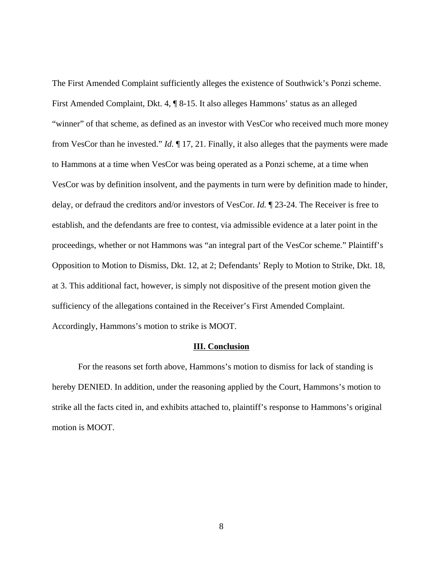The First Amended Complaint sufficiently alleges the existence of Southwick's Ponzi scheme. First Amended Complaint, Dkt. 4, ¶ 8-15. It also alleges Hammons' status as an alleged "winner" of that scheme, as defined as an investor with VesCor who received much more money from VesCor than he invested." *Id.* ¶ 17, 21. Finally, it also alleges that the payments were made to Hammons at a time when VesCor was being operated as a Ponzi scheme, at a time when VesCor was by definition insolvent, and the payments in turn were by definition made to hinder, delay, or defraud the creditors and/or investors of VesCor. *Id.* ¶ 23-24. The Receiver is free to establish, and the defendants are free to contest, via admissible evidence at a later point in the proceedings, whether or not Hammons was "an integral part of the VesCor scheme." Plaintiff's Opposition to Motion to Dismiss, Dkt. 12, at 2; Defendants' Reply to Motion to Strike, Dkt. 18, at 3. This additional fact, however, is simply not dispositive of the present motion given the sufficiency of the allegations contained in the Receiver's First Amended Complaint. Accordingly, Hammons's motion to strike is MOOT.

### **III. Conclusion**

For the reasons set forth above, Hammons's motion to dismiss for lack of standing is hereby DENIED. In addition, under the reasoning applied by the Court, Hammons's motion to strike all the facts cited in, and exhibits attached to, plaintiff's response to Hammons's original motion is MOOT.